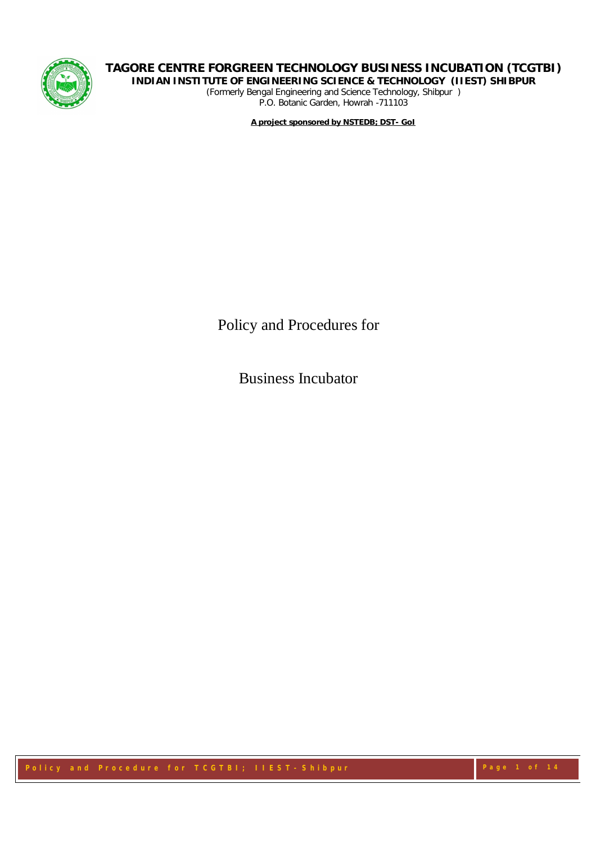

*(Formerly Bengal Engineering and Science Technology, Shibpur ) P.O. Botanic Garden, Howrah -711103*

**A project sponsored by NSTEDB; DST- GoI**

Policy and Procedures for

Business Incubator

Policy and Procedure for TCGTBI; IIEST-Shibpur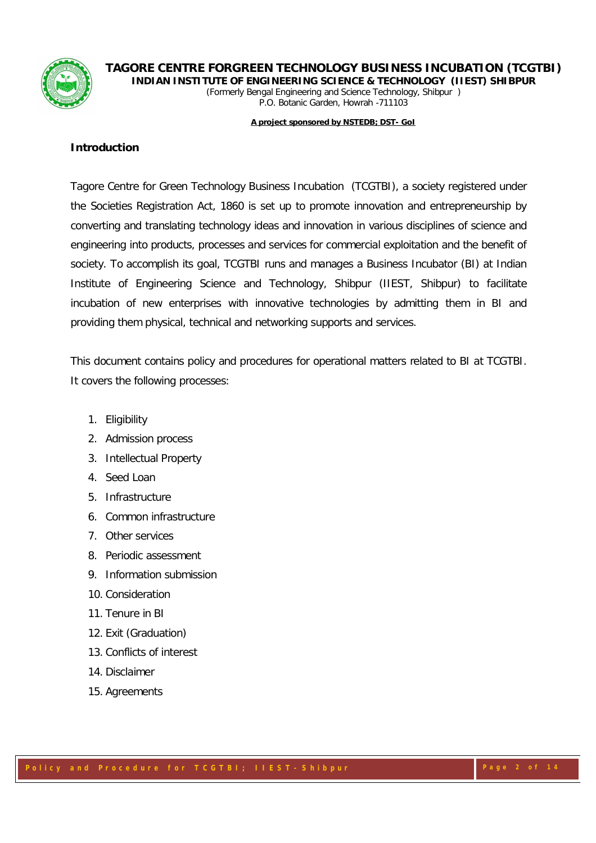

*(Formerly Bengal Engineering and Science Technology, Shibpur ) P.O. Botanic Garden, Howrah -711103*

#### **A project sponsored by NSTEDB; DST- GoI**

### **Introduction**

Tagore Centre for Green Technology Business Incubation (TCGTBI), a society registered under the Societies Registration Act, 1860 is set up to promote innovation and entrepreneurship by converting and translating technology ideas and innovation in various disciplines of science and engineering into products, processes and services for commercial exploitation and the benefit of society. To accomplish its goal, TCGTBI runs and manages a Business Incubator (BI) at Indian Institute of Engineering Science and Technology, Shibpur (IIEST, Shibpur) to facilitate incubation of new enterprises with innovative technologies by admitting them in BI and providing them physical, technical and networking supports and services.

This document contains policy and procedures for operational matters related to BI at TCGTBI. It covers the following processes:

- 1. Eligibility
- 2. Admission process
- 3. Intellectual Property
- 4. Seed Loan
- 5. Infrastructure
- 6. Common infrastructure
- 7. Other services
- 8. Periodic assessment
- 9. Information submission
- 10. Consideration
- 11. Tenure in BI
- 12. Exit (Graduation)
- 13. Conflicts of interest
- 14. Disclaimer
- 15. Agreements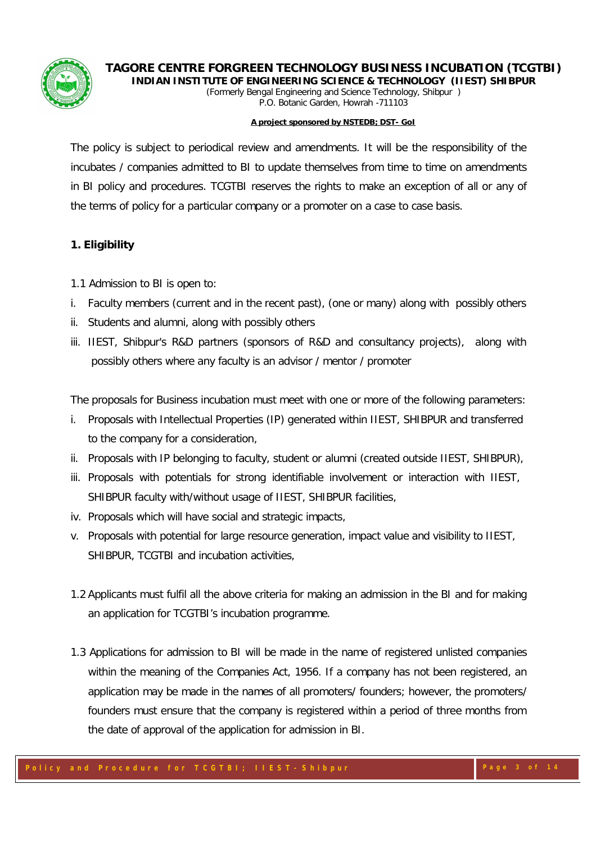



**INDIAN INSTITUTE OF ENGINEERING SCIENCE & TECHNOLOGY (IIEST) SHIBPUR** *(Formerly Bengal Engineering and Science Technology, Shibpur ) P.O. Botanic Garden, Howrah -711103*

#### **A project sponsored by NSTEDB; DST- GoI**

The policy is subject to periodical review and amendments. It will be the responsibility of the incubates / companies admitted to BI to update themselves from time to time on amendments in BI policy and procedures. TCGTBI reserves the rights to make an exception of all or any of the terms of policy for a particular company or a promoter on a case to case basis.

# **1. Eligibility**

- 1.1 Admission to BI is open to:
- i. Faculty members (current and in the recent past), (one or many) along with possibly others
- ii. Students and alumni, along with possibly others
- iii. IIEST, Shibpur's R&D partners (sponsors of R&D and consultancy projects), along with possibly others where any faculty is an advisor / mentor / promoter

The proposals for Business incubation must meet with one or more of the following parameters:

- i. Proposals with Intellectual Properties (IP) generated within IIEST, SHIBPUR and transferred to the company for a consideration,
- ii. Proposals with IP belonging to faculty, student or alumni (created outside IIEST, SHIBPUR),
- iii. Proposals with potentials for strong identifiable involvement or interaction with IIEST, SHIBPUR faculty with/without usage of IIEST, SHIBPUR facilities,
- iv. Proposals which will have social and strategic impacts,
- v. Proposals with potential for large resource generation, impact value and visibility to IIEST, SHIBPUR, TCGTBI and incubation activities,
- 1.2 Applicants must fulfil all the above criteria for making an admission in the BI and for making an application for TCGTBI's incubation programme.
- 1.3 Applications for admission to BI will be made in the name of registered unlisted companies within the meaning of the Companies Act, 1956. If a company has not been registered, an application may be made in the names of all promoters/ founders; however, the promoters/ founders must ensure that the company is registered within a period of three months from the date of approval of the application for admission in BI.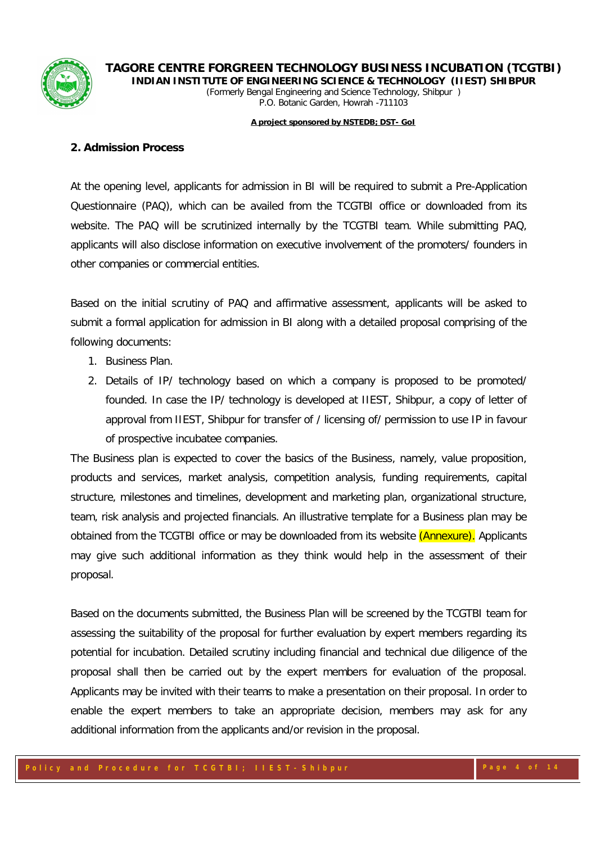

#### **A project sponsored by NSTEDB; DST- GoI**

### **2. Admission Process**

At the opening level, applicants for admission in BI will be required to submit a Pre-Application Questionnaire (PAQ), which can be availed from the TCGTBI office or downloaded from its website. The PAQ will be scrutinized internally by the TCGTBI team. While submitting PAQ, applicants will also disclose information on executive involvement of the promoters/ founders in other companies or commercial entities.

Based on the initial scrutiny of PAQ and affirmative assessment, applicants will be asked to submit a formal application for admission in BI along with a detailed proposal comprising of the following documents:

- 1. Business Plan.
- 2. Details of IP/ technology based on which a company is proposed to be promoted/ founded. In case the IP/ technology is developed at IIEST, Shibpur, a copy of letter of approval from IIEST, Shibpur for transfer of / licensing of/ permission to use IP in favour of prospective incubatee companies.

The Business plan is expected to cover the basics of the Business, namely, value proposition, products and services, market analysis, competition analysis, funding requirements, capital structure, milestones and timelines, development and marketing plan, organizational structure, team, risk analysis and projected financials. An illustrative template for a Business plan may be obtained from the TCGTBI office or may be downloaded from its website (Annexure). Applicants may give such additional information as they think would help in the assessment of their proposal.

Based on the documents submitted, the Business Plan will be screened by the TCGTBI team for assessing the suitability of the proposal for further evaluation by expert members regarding its potential for incubation. Detailed scrutiny including financial and technical due diligence of the proposal shall then be carried out by the expert members for evaluation of the proposal. Applicants may be invited with their teams to make a presentation on their proposal. In order to enable the expert members to take an appropriate decision, members may ask for any additional information from the applicants and/or revision in the proposal.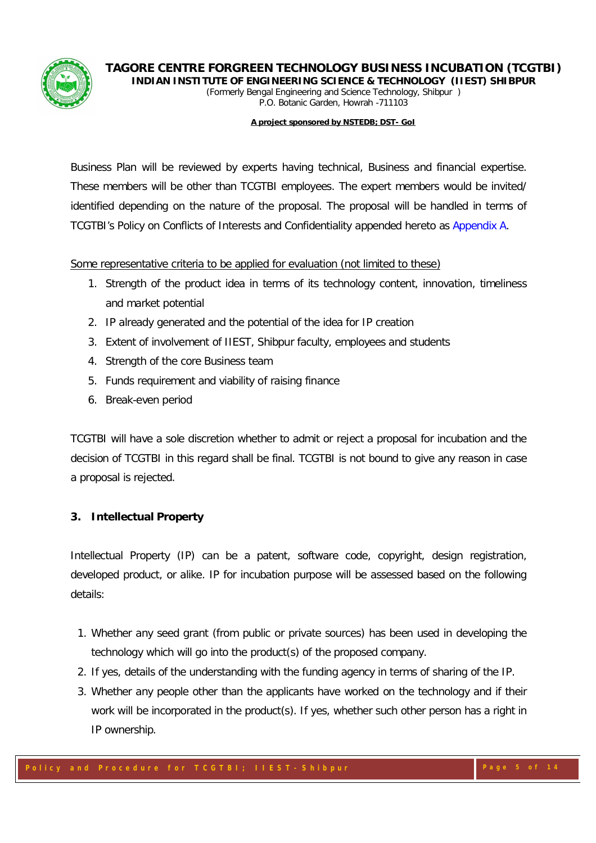



#### **A project sponsored by NSTEDB; DST- GoI**

Business Plan will be reviewed by experts having technical, Business and financial expertise. These members will be other than TCGTBI employees. The expert members would be invited/ identified depending on the nature of the proposal. The proposal will be handled in terms of TCGTBI's Policy on Conflicts of Interests and Confidentiality appended hereto as Appendix A.

Some representative criteria to be applied for evaluation (not limited to these)

- 1. Strength of the product idea in terms of its technology content, innovation, timeliness and market potential
- 2. IP already generated and the potential of the idea for IP creation
- 3. Extent of involvement of IIEST, Shibpur faculty, employees and students
- 4. Strength of the core Business team
- 5. Funds requirement and viability of raising finance
- 6. Break-even period

TCGTBI will have a sole discretion whether to admit or reject a proposal for incubation and the decision of TCGTBI in this regard shall be final. TCGTBI is not bound to give any reason in case a proposal is rejected.

# **3. Intellectual Property**

Intellectual Property (IP) can be a patent, software code, copyright, design registration, developed product, or alike. IP for incubation purpose will be assessed based on the following details:

- 1. Whether any seed grant (from public or private sources) has been used in developing the technology which will go into the product(s) of the proposed company.
- 2. If yes, details of the understanding with the funding agency in terms of sharing of the IP.
- 3. Whether any people other than the applicants have worked on the technology and if their work will be incorporated in the product(s). If yes, whether such other person has a right in IP ownership.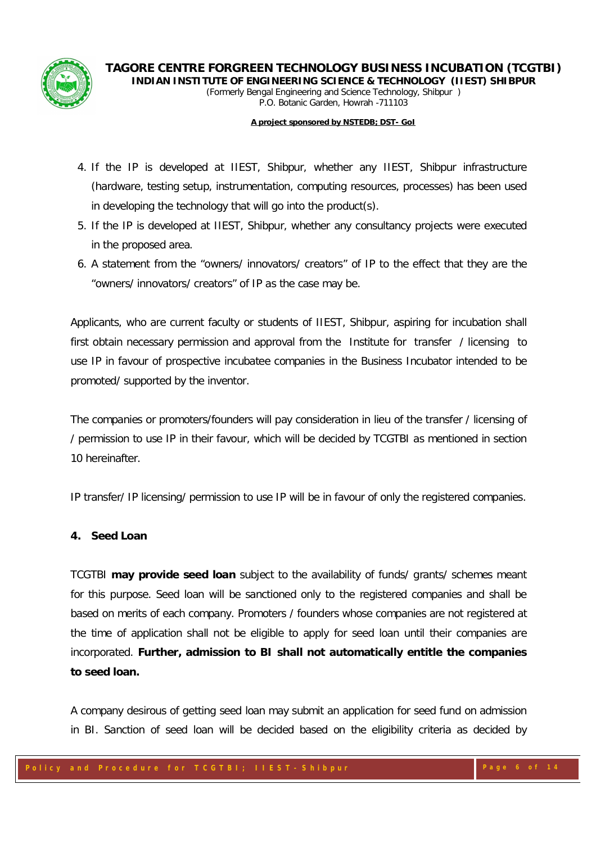

*(Formerly Bengal Engineering and Science Technology, Shibpur ) P.O. Botanic Garden, Howrah -711103*

#### **A project sponsored by NSTEDB; DST- GoI**

- 4. If the IP is developed at IIEST, Shibpur, whether any IIEST, Shibpur infrastructure (hardware, testing setup, instrumentation, computing resources, processes) has been used in developing the technology that will go into the product(s).
- 5. If the IP is developed at IIEST, Shibpur, whether any consultancy projects were executed in the proposed area.
- 6. A statement from the "owners/ innovators/ creators" of IP to the effect that they are the "owners/ innovators/ creators" of IP as the case may be.

Applicants, who are current faculty or students of IIEST, Shibpur, aspiring for incubation shall first obtain necessary permission and approval from the Institute for transfer / licensing to use IP in favour of prospective incubatee companies in the Business Incubator intended to be promoted/ supported by the inventor.

The companies or promoters/founders will pay consideration in lieu of the transfer / licensing of / permission to use IP in their favour, which will be decided by TCGTBI as mentioned in section 10 hereinafter.

IP transfer/ IP licensing/ permission to use IP will be in favour of only the registered companies.

### **4. Seed Loan**

TCGTBI **may provide seed loan** subject to the availability of funds/ grants/ schemes meant for this purpose. Seed loan will be sanctioned only to the registered companies and shall be based on merits of each company. Promoters / founders whose companies are not registered at the time of application shall not be eligible to apply for seed loan until their companies are incorporated. **Further, admission to BI shall not automatically entitle the companies to seed loan.**

A company desirous of getting seed loan may submit an application for seed fund on admission in BI. Sanction of seed loan will be decided based on the eligibility criteria as decided by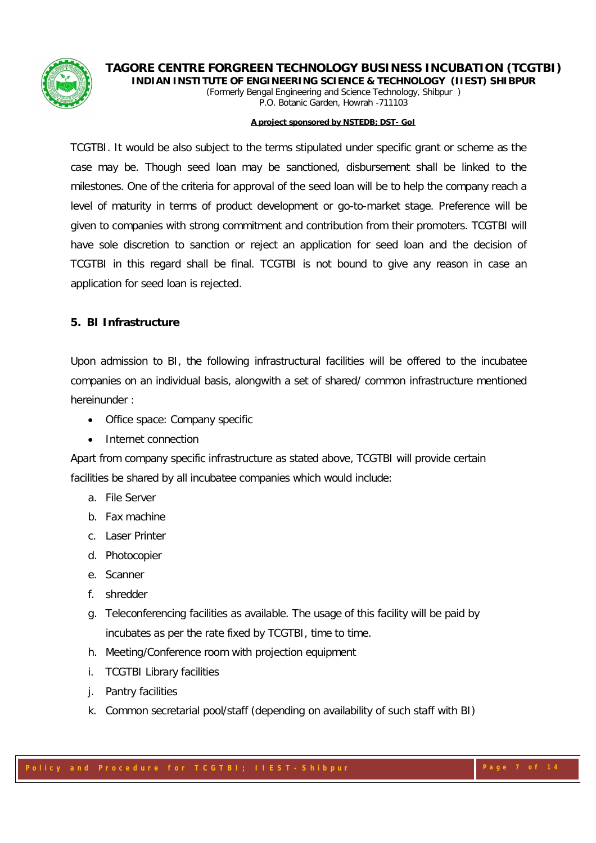



#### **A project sponsored by NSTEDB; DST- GoI**

TCGTBI. It would be also subject to the terms stipulated under specific grant or scheme as the case may be. Though seed loan may be sanctioned, disbursement shall be linked to the milestones. One of the criteria for approval of the seed loan will be to help the company reach a level of maturity in terms of product development or go-to-market stage. Preference will be given to companies with strong commitment and contribution from their promoters. TCGTBI will have sole discretion to sanction or reject an application for seed loan and the decision of TCGTBI in this regard shall be final. TCGTBI is not bound to give any reason in case an application for seed loan is rejected.

### **5. BI Infrastructure**

Upon admission to BI, the following infrastructural facilities will be offered to the incubatee companies on an individual basis, alongwith a set of shared/ common infrastructure mentioned hereinunder :

- Office space: Company specific
- Internet connection

Apart from company specific infrastructure as stated above, TCGTBI will provide certain facilities be shared by all incubatee companies which would include:

- a. File Server
- b. Fax machine
- c. Laser Printer
- d. Photocopier
- e. Scanner
- f. shredder
- g. Teleconferencing facilities as available. The usage of this facility will be paid by incubates as per the rate fixed by TCGTBI, time to time.
- h. Meeting/Conference room with projection equipment
- i. TCGTBI Library facilities
- j. Pantry facilities
- k. Common secretarial pool/staff (depending on availability of such staff with BI)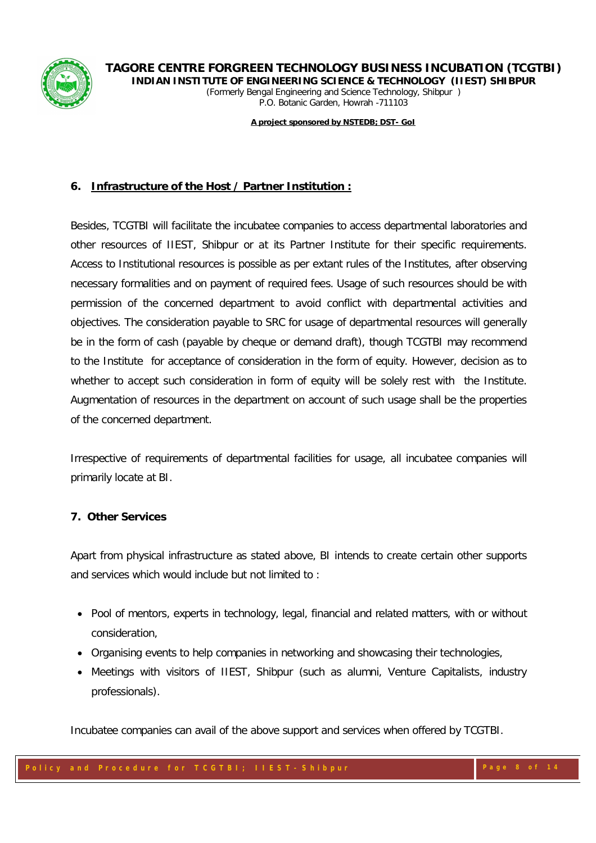

*(Formerly Bengal Engineering and Science Technology, Shibpur ) P.O. Botanic Garden, Howrah -711103*

**A project sponsored by NSTEDB; DST- GoI**

# **6. Infrastructure of the Host / Partner Institution :**

Besides, TCGTBI will facilitate the incubatee companies to access departmental laboratories and other resources of IIEST, Shibpur or at its Partner Institute for their specific requirements. Access to Institutional resources is possible as per extant rules of the Institutes, after observing necessary formalities and on payment of required fees. Usage of such resources should be with permission of the concerned department to avoid conflict with departmental activities and objectives. The consideration payable to SRC for usage of departmental resources will generally be in the form of cash (payable by cheque or demand draft), though TCGTBI may recommend to the Institute for acceptance of consideration in the form of equity. However, decision as to whether to accept such consideration in form of equity will be solely rest with the Institute. Augmentation of resources in the department on account of such usage shall be the properties of the concerned department.

Irrespective of requirements of departmental facilities for usage, all incubatee companies will primarily locate at BI.

# **7. Other Services**

Apart from physical infrastructure as stated above, BI intends to create certain other supports and services which would include but not limited to :

- Pool of mentors, experts in technology, legal, financial and related matters, with or without consideration,
- Organising events to help companies in networking and showcasing their technologies,
- Meetings with visitors of IIEST, Shibpur (such as alumni, Venture Capitalists, industry professionals).

Incubatee companies can avail of the above support and services when offered by TCGTBI.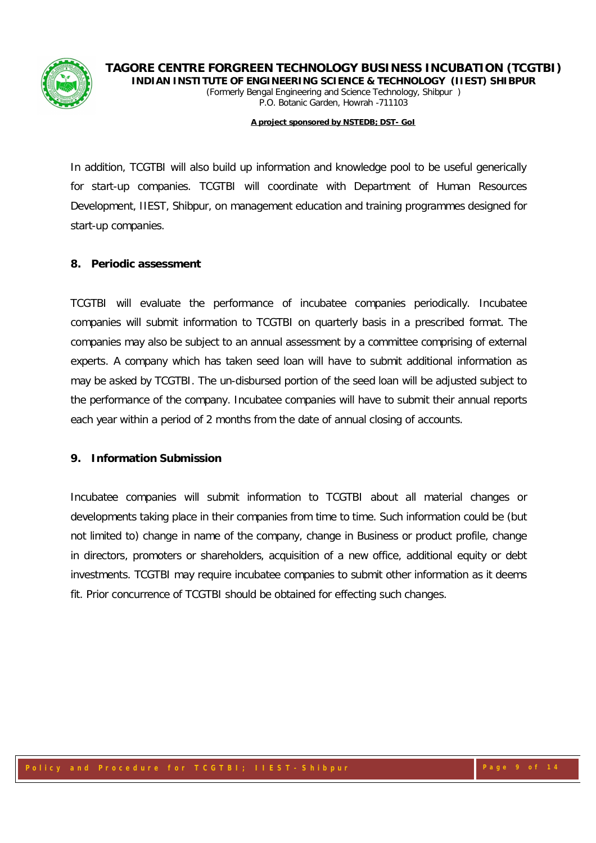

*(Formerly Bengal Engineering and Science Technology, Shibpur ) P.O. Botanic Garden, Howrah -711103*

#### **A project sponsored by NSTEDB; DST- GoI**

In addition, TCGTBI will also build up information and knowledge pool to be useful generically for start-up companies. TCGTBI will coordinate with Department of Human Resources Development, IIEST, Shibpur, on management education and training programmes designed for start-up companies.

### **8. Periodic assessment**

TCGTBI will evaluate the performance of incubatee companies periodically. Incubatee companies will submit information to TCGTBI on quarterly basis in a prescribed format. The companies may also be subject to an annual assessment by a committee comprising of external experts. A company which has taken seed loan will have to submit additional information as may be asked by TCGTBI. The un-disbursed portion of the seed loan will be adjusted subject to the performance of the company. Incubatee companies will have to submit their annual reports each year within a period of 2 months from the date of annual closing of accounts.

### **9. Information Submission**

Incubatee companies will submit information to TCGTBI about all material changes or developments taking place in their companies from time to time. Such information could be (but not limited to) change in name of the company, change in Business or product profile, change in directors, promoters or shareholders, acquisition of a new office, additional equity or debt investments. TCGTBI may require incubatee companies to submit other information as it deems fit. Prior concurrence of TCGTBI should be obtained for effecting such changes.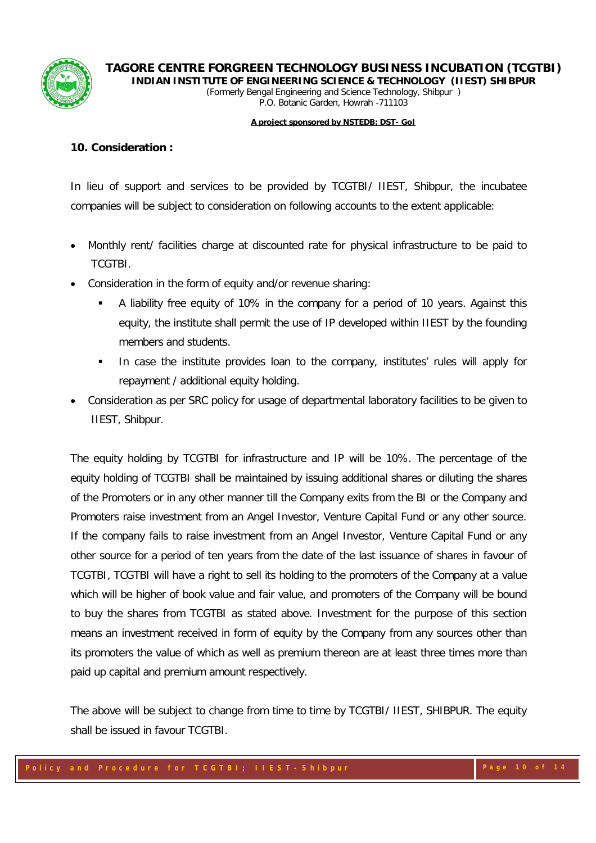

#### **A project sponsored by NSTEDB; DST- GoI**

### **10. Consideration :**

In lieu of support and services to be provided by TCGTBI/ IIEST, Shibpur, the incubatee companies will be subject to consideration on following accounts to the extent applicable:

- Monthly rent/ facilities charge at discounted rate for physical infrastructure to be paid to TCGTBI.
- Consideration in the form of equity and/or revenue sharing:
	- A liability free equity of 10% in the company for a period of 10 years. Against this equity, the institute shall permit the use of IP developed within IIEST by the founding members and students.
	- In case the institute provides loan to the company, institutes' rules will apply for repayment / additional equity holding.
- Consideration as per SRC policy for usage of departmental laboratory facilities to be given to IIEST, Shibpur.

The equity holding by TCGTBI for infrastructure and IP will be 10%. The percentage of the equity holding of TCGTBI shall be maintained by issuing additional shares or diluting the shares of the Promoters or in any other manner till the Company exits from the BI or the Company and Promoters raise investment from an Angel Investor, Venture Capital Fund or any other source. If the company fails to raise investment from an Angel Investor, Venture Capital Fund or any other source for a period of ten years from the date of the last issuance of shares in favour of TCGTBI, TCGTBI will have a right to sell its holding to the promoters of the Company at a value which will be higher of book value and fair value, and promoters of the Company will be bound to buy the shares from TCGTBI as stated above. Investment for the purpose of this section means an investment received in form of equity by the Company from any sources other than its promoters the value of which as well as premium thereon are at least three times more than paid up capital and premium amount respectively.

The above will be subject to change from time to time by TCGTBI/ IIEST, SHIBPUR. The equity shall be issued in favour TCGTBI.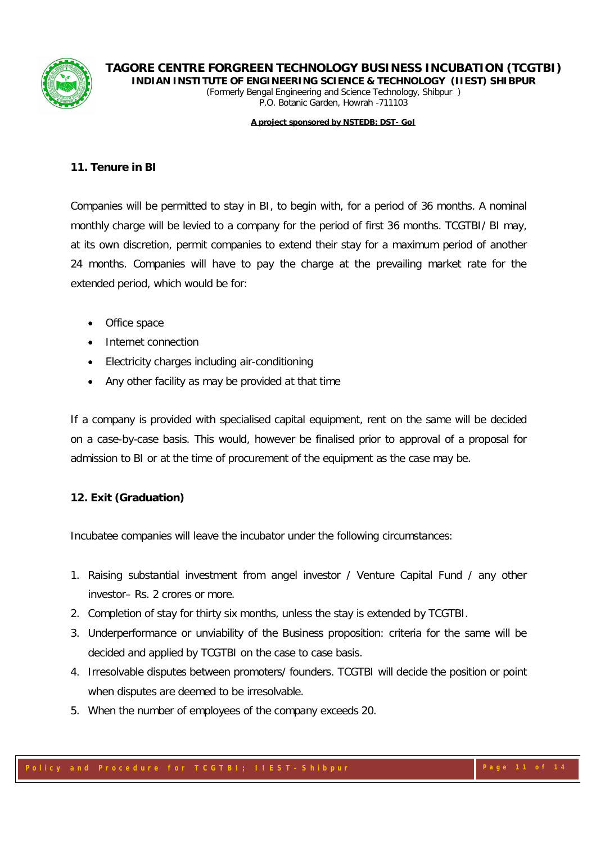

# **TAGORE CENTRE FORGREEN TECHNOLOGY BUSINESS INCUBATION (TCGTBI)**

**INDIAN INSTITUTE OF ENGINEERING SCIENCE & TECHNOLOGY (IIEST) SHIBPUR** *(Formerly Bengal Engineering and Science Technology, Shibpur ) P.O. Botanic Garden, Howrah -711103*

**A project sponsored by NSTEDB; DST- GoI**

# **11. Tenure in BI**

Companies will be permitted to stay in BI, to begin with, for a period of 36 months. A nominal monthly charge will be levied to a company for the period of first 36 months. TCGTBI/ BI may, at its own discretion, permit companies to extend their stay for a maximum period of another 24 months. Companies will have to pay the charge at the prevailing market rate for the extended period, which would be for:

- Office space
- Internet connection
- Electricity charges including air-conditioning
- Any other facility as may be provided at that time

If a company is provided with specialised capital equipment, rent on the same will be decided on a case-by-case basis. This would, however be finalised prior to approval of a proposal for admission to BI or at the time of procurement of the equipment as the case may be.

# **12. Exit (Graduation)**

Incubatee companies will leave the incubator under the following circumstances:

- 1. Raising substantial investment from angel investor / Venture Capital Fund / any other investor– Rs. 2 crores or more.
- 2. Completion of stay for thirty six months, unless the stay is extended by TCGTBI.
- 3. Underperformance or unviability of the Business proposition: criteria for the same will be decided and applied by TCGTBI on the case to case basis.
- 4. Irresolvable disputes between promoters/ founders. TCGTBI will decide the position or point when disputes are deemed to be irresolvable.
- 5. When the number of employees of the company exceeds 20.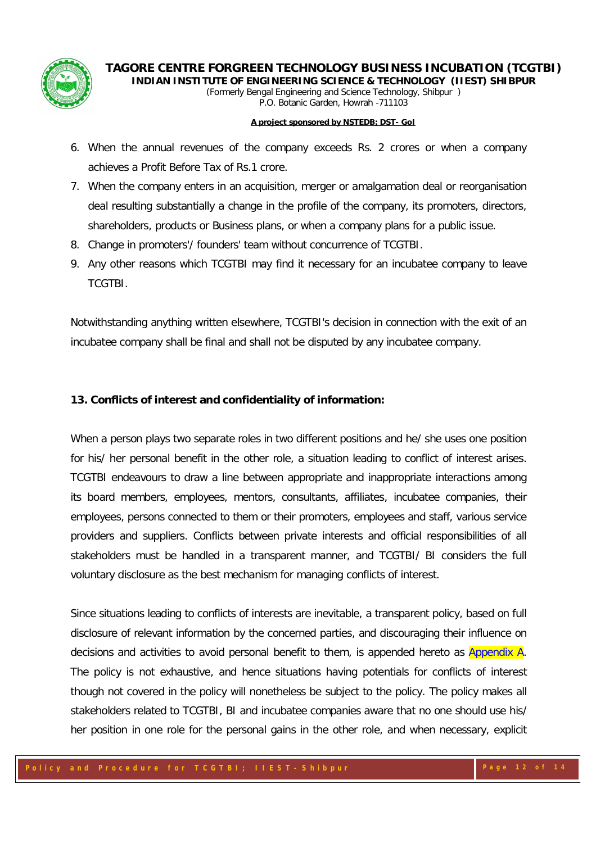

*(Formerly Bengal Engineering and Science Technology, Shibpur ) P.O. Botanic Garden, Howrah -711103*

#### **A project sponsored by NSTEDB; DST- GoI**

- 6. When the annual revenues of the company exceeds Rs. 2 crores or when a company achieves a Profit Before Tax of Rs.1 crore.
- 7. When the company enters in an acquisition, merger or amalgamation deal or reorganisation deal resulting substantially a change in the profile of the company, its promoters, directors, shareholders, products or Business plans, or when a company plans for a public issue.
- 8. Change in promoters'/ founders' team without concurrence of TCGTBI.
- 9. Any other reasons which TCGTBI may find it necessary for an incubatee company to leave **TCGTBI**

Notwithstanding anything written elsewhere, TCGTBI's decision in connection with the exit of an incubatee company shall be final and shall not be disputed by any incubatee company.

### **13. Conflicts of interest and confidentiality of information:**

When a person plays two separate roles in two different positions and he/ she uses one position for his/ her personal benefit in the other role, a situation leading to conflict of interest arises. TCGTBI endeavours to draw a line between appropriate and inappropriate interactions among its board members, employees, mentors, consultants, affiliates, incubatee companies, their employees, persons connected to them or their promoters, employees and staff, various service providers and suppliers. Conflicts between private interests and official responsibilities of all stakeholders must be handled in a transparent manner, and TCGTBI/ BI considers the full voluntary disclosure as the best mechanism for managing conflicts of interest.

Since situations leading to conflicts of interests are inevitable, a transparent policy, based on full disclosure of relevant information by the concerned parties, and discouraging their influence on decisions and activities to avoid personal benefit to them, is appended hereto as **Appendix A.** The policy is not exhaustive, and hence situations having potentials for conflicts of interest though not covered in the policy will nonetheless be subject to the policy. The policy makes all stakeholders related to TCGTBI, BI and incubatee companies aware that no one should use his/ her position in one role for the personal gains in the other role, and when necessary, explicit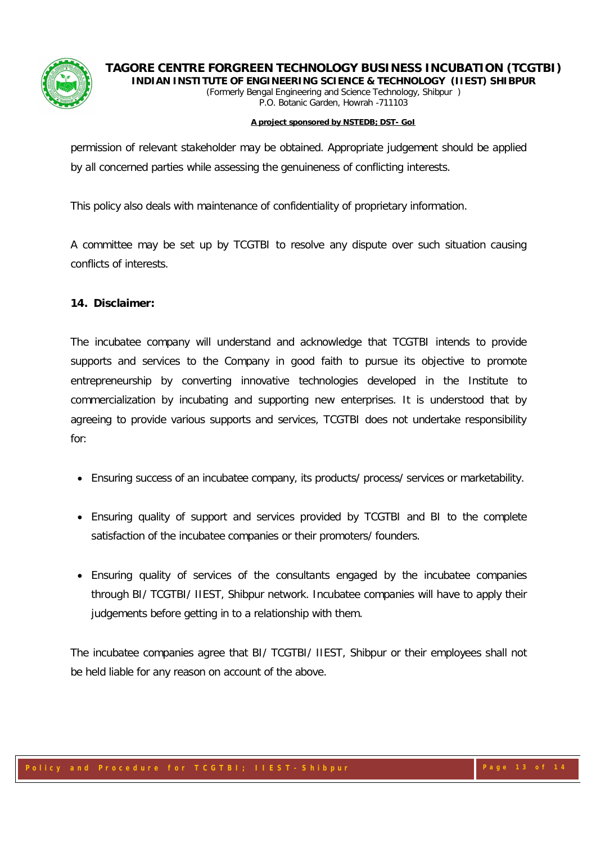



#### **A project sponsored by NSTEDB; DST- GoI**

permission of relevant stakeholder may be obtained. Appropriate judgement should be applied by all concerned parties while assessing the genuineness of conflicting interests.

This policy also deals with maintenance of confidentiality of proprietary information.

A committee may be set up by TCGTBI to resolve any dispute over such situation causing conflicts of interests.

### **14. Disclaimer:**

The incubatee company will understand and acknowledge that TCGTBI intends to provide supports and services to the Company in good faith to pursue its objective to promote entrepreneurship by converting innovative technologies developed in the Institute to commercialization by incubating and supporting new enterprises. It is understood that by agreeing to provide various supports and services, TCGTBI does not undertake responsibility for:

- Ensuring success of an incubatee company, its products/ process/ services or marketability.
- Ensuring quality of support and services provided by TCGTBI and BI to the complete satisfaction of the incubatee companies or their promoters/ founders.
- Ensuring quality of services of the consultants engaged by the incubatee companies through BI/ TCGTBI/ IIEST, Shibpur network. Incubatee companies will have to apply their judgements before getting in to a relationship with them.

The incubatee companies agree that BI/ TCGTBI/ IIEST, Shibpur or their employees shall not be held liable for any reason on account of the above.